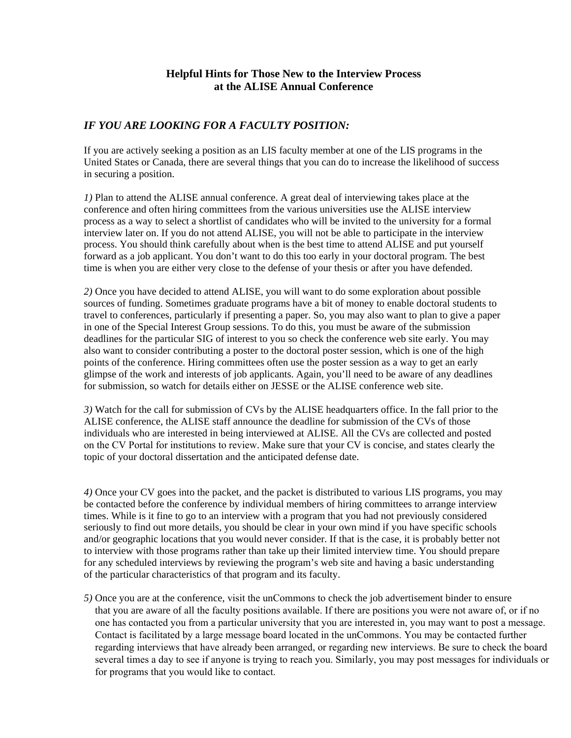## **Helpful Hints for Those New to the Interview Process at the ALISE Annual Conference**

## *IF YOU ARE LOOKING FOR A FACULTY POSITION:*

If you are actively seeking a position as an LIS faculty member at one of the LIS programs in the United States or Canada, there are several things that you can do to increase the likelihood of success in securing a position.

*1)* Plan to attend the ALISE annual conference. A great deal of interviewing takes place at the conference and often hiring committees from the various universities use the ALISE interview process as a way to select a shortlist of candidates who will be invited to the university for a formal interview later on. If you do not attend ALISE, you will not be able to participate in the interview process. You should think carefully about when is the best time to attend ALISE and put yourself forward as a job applicant. You don't want to do this too early in your doctoral program. The best time is when you are either very close to the defense of your thesis or after you have defended.

*2)* Once you have decided to attend ALISE, you will want to do some exploration about possible sources of funding. Sometimes graduate programs have a bit of money to enable doctoral students to travel to conferences, particularly if presenting a paper. So, you may also want to plan to give a paper in one of the Special Interest Group sessions. To do this, you must be aware of the submission deadlines for the particular SIG of interest to you so check the conference web site early. You may also want to consider contributing a poster to the doctoral poster session, which is one of the high points of the conference. Hiring committees often use the poster session as a way to get an early glimpse of the work and interests of job applicants. Again, you'll need to be aware of any deadlines for submission, so watch for details either on JESSE or the ALISE conference web site.

*3)* Watch for the call for submission of CVs by the ALISE headquarters office. In the fall prior to the ALISE conference, the ALISE staff announce the deadline for submission of the CVs of those individuals who are interested in being interviewed at ALISE. All the CVs are collected and posted on the CV Portal for institutions to review. Make sure that your CV is concise, and states clearly the topic of your doctoral dissertation and the anticipated defense date.

*4)* Once your CV goes into the packet, and the packet is distributed to various LIS programs, you may be contacted before the conference by individual members of hiring committees to arrange interview times. While is it fine to go to an interview with a program that you had not previously considered seriously to find out more details, you should be clear in your own mind if you have specific schools and/or geographic locations that you would never consider. If that is the case, it is probably better not to interview with those programs rather than take up their limited interview time. You should prepare for any scheduled interviews by reviewing the program's web site and having a basic understanding of the particular characteristics of that program and its faculty.

*5)* Once you are at the conference, visit the unCommons to check the job advertisement binder to ensure that you are aware of all the faculty positions available. If there are positions you were not aware of, or if no one has contacted you from a particular university that you are interested in, you may want to post a message. Contact is facilitated by a large message board located in the unCommons. You may be contacted further regarding interviews that have already been arranged, or regarding new interviews. Be sure to check the board several times a day to see if anyone is trying to reach you. Similarly, you may post messages for individuals or for programs that you would like to contact.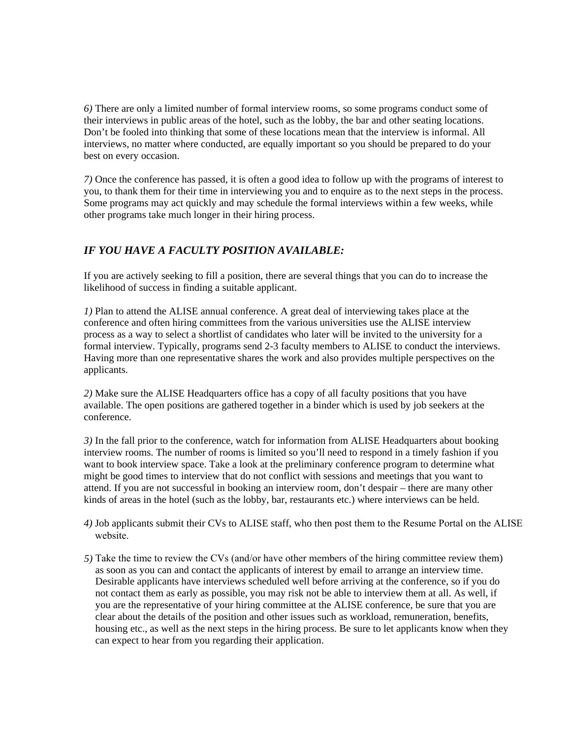*6)* There are only a limited number of formal interview rooms, so some programs conduct some of their interviews in public areas of the hotel, such as the lobby, the bar and other seating locations. Don't be fooled into thinking that some of these locations mean that the interview is informal. All interviews, no matter where conducted, are equally important so you should be prepared to do your best on every occasion.

*7)* Once the conference has passed, it is often a good idea to follow up with the programs of interest to you, to thank them for their time in interviewing you and to enquire as to the next steps in the process. Some programs may act quickly and may schedule the formal interviews within a few weeks, while other programs take much longer in their hiring process.

## *IF YOU HAVE A FACULTY POSITION AVAILABLE:*

If you are actively seeking to fill a position, there are several things that you can do to increase the likelihood of success in finding a suitable applicant.

*1)* Plan to attend the ALISE annual conference. A great deal of interviewing takes place at the conference and often hiring committees from the various universities use the ALISE interview process as a way to select a shortlist of candidates who later will be invited to the university for a formal interview. Typically, programs send 2-3 faculty members to ALISE to conduct the interviews. Having more than one representative shares the work and also provides multiple perspectives on the applicants.

*2)* Make sure the ALISE Headquarters office has a copy of all faculty positions that you have available. The open positions are gathered together in a binder which is used by job seekers at the conference.

*3)* In the fall prior to the conference, watch for information from ALISE Headquarters about booking interview rooms. The number of rooms is limited so you'll need to respond in a timely fashion if you want to book interview space. Take a look at the preliminary conference program to determine what might be good times to interview that do not conflict with sessions and meetings that you want to attend. If you are not successful in booking an interview room, don't despair – there are many other kinds of areas in the hotel (such as the lobby, bar, restaurants etc.) where interviews can be held.

- *4)* Job applicants submit their CVs to ALISE staff, who then post them to the Resume Portal on the ALISE website.
- *5)* Take the time to review the CVs (and/or have other members of the hiring committee review them) as soon as you can and contact the applicants of interest by email to arrange an interview time. Desirable applicants have interviews scheduled well before arriving at the conference, so if you do not contact them as early as possible, you may risk not be able to interview them at all. As well, if you are the representative of your hiring committee at the ALISE conference, be sure that you are clear about the details of the position and other issues such as workload, remuneration, benefits, housing etc., as well as the next steps in the hiring process. Be sure to let applicants know when they can expect to hear from you regarding their application.